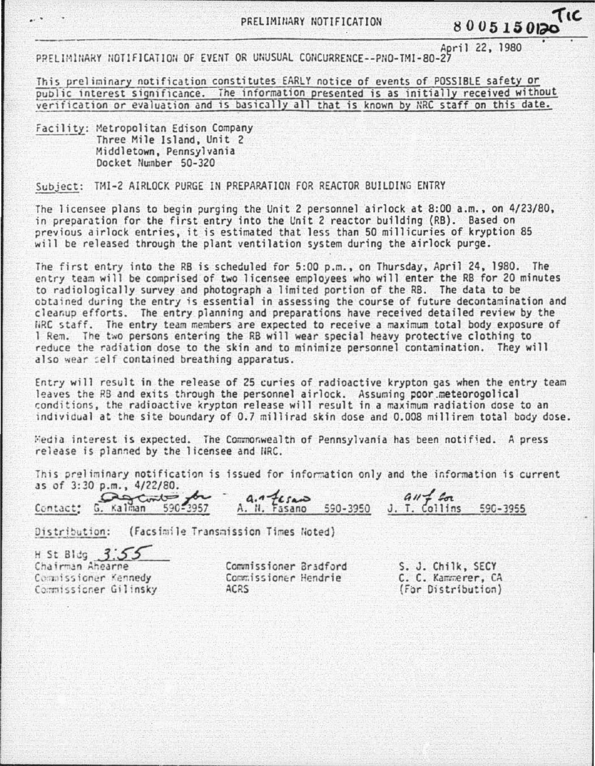April 22, 1980 PPFI IMINARY NOTIFICATION OF EVENT OR UNUSUAL CONCURRENCE--PNO-TMI-80-27

This preliminary notification constitutes EARLY notice of events of POSSIBLE safety or public interest significance. The information presented is as initially received without verification or evaluation and is basically all that is known by NRC staff on this date.

Facility: Metropolitan Edison Company Three Mile Island, Unit 2 Middletown, Pennsylvania Docket Number 50-320

Subject: mi-2 AIRLOCK PURGE IN PREPARATION FOR REACTOR BUILDING ENTRY

The licensee plans to begin purging the Unit 2 personnel airlock at 8:00 a.m., on 4/23/80, in preparation for the first entry into the Unit 2 reactor building (RB). Based on previous airlock entries, it is estimated that less than 50 millicuries of kryption 85 will be released through the plant ventilation system during the airlock purge.

The first entry into the RB is scheduled for 5:00 p.m., on Thursday, April 24, 1980. The entry team will be comprised of two licensee employees who will enter the RB for 20 minutes to radiologically survey and photograph a limited portion of the RB. The data to be ootained during the entry is essential in assessing the course of future decontamination and cleanup efforts. The entry planning and preparations have received detailed review by the FiRC staff. The entry team members are expected to receive a maximum total body exposure of 1 Rem. The two persons entering the RB will wear special heavy protective clothing to reduce the radiation dose to the skin and to minimize personnel contamination. They will also wear self contained breathing apparatus.

Entry will result in the release of 25 curies of radioactive krypton gas when the entry team leaves the RB and exits through the personnel airlock. Assuming poor.meteorogolical conditions, the radioactive krypton release will result in a maximum radiation dose to an 1nd1vidual at the site boundary of 0.7 mi llirad skin dose and 0.008 millirem total body dose.

Hedia interest is expected. The Commonwealth of Pennsylvania has been notified. A press release is planned by the licensee and HRC.

This preliminary notification is issued for information only and the information is current  $as$  of  $3:30$  p.m.,  $4/22/80$ .

| This preliminary notification is issued for information only and the information is cur |                       |                |          |
|-----------------------------------------------------------------------------------------|-----------------------|----------------|----------|
| as of 3:30 p.m., 4/22/80.<br>Contact: G. Kalman 590-3957                                | A. N. Fasano 590-3950 | $3.7.$ Collins | 590-3955 |

Distribution: (Facsimile Transmission Times Noted)

Distribution: (Facsim<br>H St Bldg 3.55<br>Chairman Ahearne Commissioner Kennedy Commissioner Gilinsky

Commissioner Bradford Commissioner Hendrie ACRS

S. J. Chilk, SECY C. C. Kammerer, CA (F¢r Distribution)